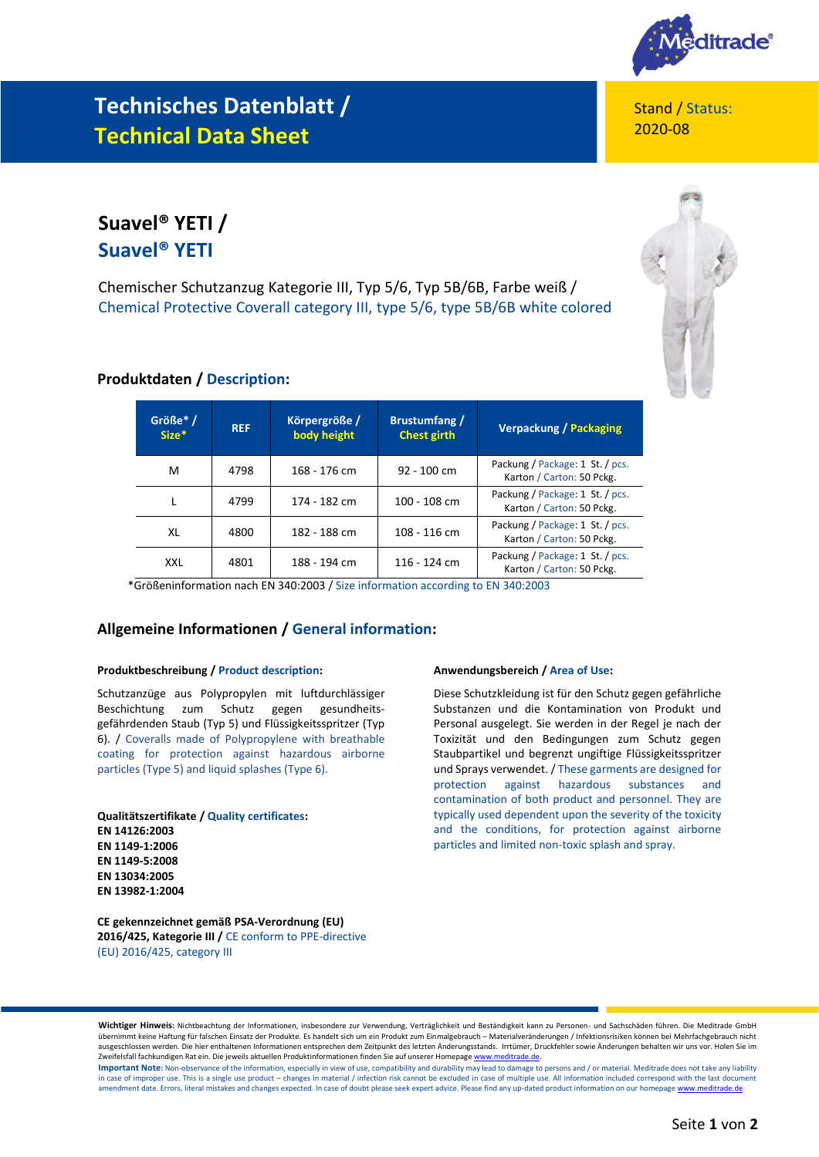

## **Technisches Datenblatt / Technical Data Sheet**

Stand / Status: 2020-08

## **Suavel® YETI / Suavel® YETI**

Chemischer Schutzanzug Kategorie III, Typ 5/6, Typ 5B/6B, Farbe weiß / Chemical Protective Coverall category III, type 5/6, type 5B/6B white colored



### **Produktdaten / Description:**

| Größe* /<br>$Size^*$ | <b>REF</b> | Körpergröße /<br>body height | <b>Brustumfang</b> /<br>Chest girth | <b>Verpackung / Packaging</b>                                |
|----------------------|------------|------------------------------|-------------------------------------|--------------------------------------------------------------|
| м                    | 4798       | 168 - 176 cm                 | 92 - 100 cm                         | Packung / Package: 1 St. / pcs.<br>Karton / Carton: 50 Pckg. |
|                      | 4799       | 174 - 182 cm                 | 100 - 108 cm                        | Packung / Package: 1 St. / pcs.<br>Karton / Carton: 50 Pckg. |
| XL                   | 4800       | 182 - 188 cm                 | 108 - 116 cm                        | Packung / Package: 1 St. / pcs.<br>Karton / Carton: 50 Pckg. |
| <b>XXL</b>           | 4801       | 188 - 194 cm                 | 116 - 124 cm                        | Packung / Package: 1 St. / pcs.<br>Karton / Carton: 50 Pckg. |

\*Größeninformation nach EN 340:2003 / Size information according to EN 340:2003

### **Allgemeine Informationen / General information:**

#### **Produktbeschreibung / Product description:**

Schutzanzüge aus Polypropylen mit luftdurchlässiger Beschichtung zum Schutz gegen gesundheitsgefährdenden Staub (Typ 5) und Flüssigkeitsspritzer (Typ 6). / Coveralls made of Polypropylene with breathable coating for protection against hazardous airborne particles (Type 5) and liquid splashes (Type 6).

**Qualitätszertifikate / Quality certificates: EN 14126:2003 EN 1149-1:2006 EN 1149-5:2008 EN 13034:2005 EN 13982-1:2004**

**CE gekennzeichnet gemäß PSA-Verordnung (EU) 2016/425, Kategorie III /** CE conform to PPE-directive (EU) 2016/425, category III

#### **Anwendungsbereich / Area of Use:**

Diese Schutzkleidung ist für den Schutz gegen gefährliche Substanzen und die Kontamination von Produkt und Personal ausgelegt. Sie werden in der Regel je nach der Toxizität und den Bedingungen zum Schutz gegen Staubpartikel und begrenzt ungiftige Flüssigkeitsspritzer und Sprays verwendet. / These garments are designed for protection against hazardous substances and contamination of both product and personnel. They are typically used dependent upon the severity of the toxicity and the conditions, for protection against airborne particles and limited non-toxic splash and spray.

**Wichtiger Hinweis:** Nichtbeachtung der Informationen, insbesondere zur Verwendung, Verträglichkeit und Beständigkeit kann zu Personen- und Sachschäden führen. Die Meditrade GmbH übernimmt keine Haftung für falschen Einsatz der Produkte. Es handelt sich um ein Produkt zum Einmalgebrauch – Materialveränderungen / Infektionsrisiken können bei Mehrfachgebrauch nicht ausgeschlossen werden. Die hier enthaltenen Informationen entsprechen dem Zeitpunkt des letzten Änderungsstands. Irrtümer, Druckfehler sowie Änderungen behalten wir uns vor. Holen Sie im Zweifelsfall fachkundigen Rat ein. Die jeweils aktuellen Produktinformationen finden Sie auf unserer Homepage www.n Important Note: Non-observance of the information, especially in view of use, compatibility and durability may lead to damage to persons and / or material. Meditrade does not take any liability

in case of improper use. This is a single use product – changes in material / infection risk cannot be excluded in case of multiple use. All information included correspond with the last document amendment date. Errors, literal mistakes and changes expected. In case of doubt please seek expert advice. Please find any up-dated product information on our homepag[e www.meditrade.de](http://www.meditrade.de/)